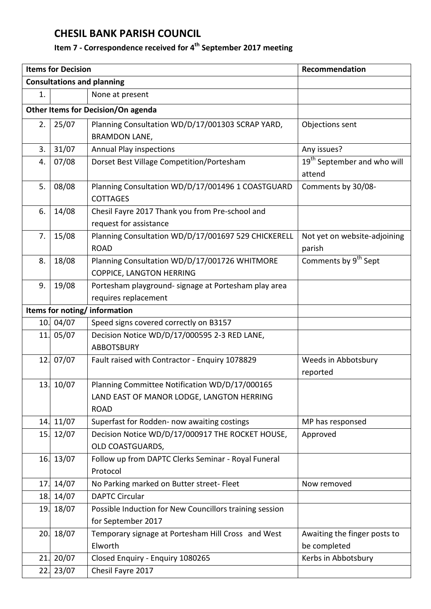## **CHESIL BANK PARISH COUNCIL**

## **Item 7 - Correspondence received for 4 th September 2017 meeting**

| <b>Items for Decision</b>          |           |                                                         | Recommendation                          |  |  |
|------------------------------------|-----------|---------------------------------------------------------|-----------------------------------------|--|--|
| <b>Consultations and planning</b>  |           |                                                         |                                         |  |  |
| 1.                                 |           | None at present                                         |                                         |  |  |
| Other Items for Decision/On agenda |           |                                                         |                                         |  |  |
| 2.                                 | 25/07     | Planning Consultation WD/D/17/001303 SCRAP YARD,        | Objections sent                         |  |  |
|                                    |           | <b>BRAMDON LANE,</b>                                    |                                         |  |  |
| 3.                                 | 31/07     | <b>Annual Play inspections</b>                          | Any issues?                             |  |  |
| 4.                                 | 07/08     | Dorset Best Village Competition/Portesham               | 19 <sup>th</sup> September and who will |  |  |
|                                    |           |                                                         | attend                                  |  |  |
| 5.                                 | 08/08     | Planning Consultation WD/D/17/001496 1 COASTGUARD       | Comments by 30/08-                      |  |  |
|                                    |           | <b>COTTAGES</b>                                         |                                         |  |  |
| 6.                                 | 14/08     | Chesil Fayre 2017 Thank you from Pre-school and         |                                         |  |  |
|                                    |           | request for assistance                                  |                                         |  |  |
| 7.                                 | 15/08     | Planning Consultation WD/D/17/001697 529 CHICKERELL     | Not yet on website-adjoining            |  |  |
|                                    |           | <b>ROAD</b>                                             | parish                                  |  |  |
| 8.                                 | 18/08     | Planning Consultation WD/D/17/001726 WHITMORE           | Comments by 9 <sup>th</sup> Sept        |  |  |
|                                    |           | COPPICE, LANGTON HERRING                                |                                         |  |  |
| 9.                                 | 19/08     | Portesham playground- signage at Portesham play area    |                                         |  |  |
|                                    |           | requires replacement                                    |                                         |  |  |
| Items for noting/information       |           |                                                         |                                         |  |  |
|                                    | 10. 04/07 | Speed signs covered correctly on B3157                  |                                         |  |  |
| 11.                                | 05/07     | Decision Notice WD/D/17/000595 2-3 RED LANE,            |                                         |  |  |
|                                    |           | <b>ABBOTSBURY</b>                                       |                                         |  |  |
|                                    | 12. 07/07 | Fault raised with Contractor - Enquiry 1078829          | Weeds in Abbotsbury                     |  |  |
|                                    |           |                                                         | reported                                |  |  |
|                                    | 13. 10/07 | Planning Committee Notification WD/D/17/000165          |                                         |  |  |
|                                    |           | LAND EAST OF MANOR LODGE, LANGTON HERRING               |                                         |  |  |
|                                    |           | <b>ROAD</b>                                             |                                         |  |  |
| 14.                                | 11/07     | Superfast for Rodden- now awaiting costings             | MP has responsed                        |  |  |
| 15.                                | 12/07     | Decision Notice WD/D/17/000917 THE ROCKET HOUSE,        | Approved                                |  |  |
|                                    |           | OLD COASTGUARDS,                                        |                                         |  |  |
|                                    | 16. 13/07 | Follow up from DAPTC Clerks Seminar - Royal Funeral     |                                         |  |  |
|                                    |           | Protocol                                                |                                         |  |  |
| 17.                                | 14/07     | No Parking marked on Butter street- Fleet               | Now removed                             |  |  |
| 18.                                | 14/07     | <b>DAPTC Circular</b>                                   |                                         |  |  |
| 19.                                | 18/07     | Possible Induction for New Councillors training session |                                         |  |  |
|                                    |           | for September 2017                                      |                                         |  |  |
| 20.                                | 18/07     | Temporary signage at Portesham Hill Cross and West      | Awaiting the finger posts to            |  |  |
|                                    |           | Elworth                                                 | be completed                            |  |  |
| 21.                                | 20/07     | Closed Enquiry - Enquiry 1080265                        | Kerbs in Abbotsbury                     |  |  |
| 22.                                | 23/07     | Chesil Fayre 2017                                       |                                         |  |  |